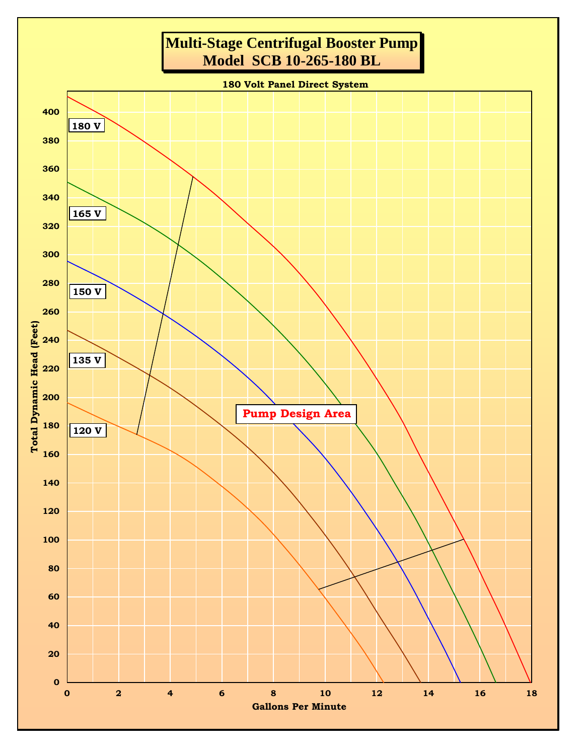